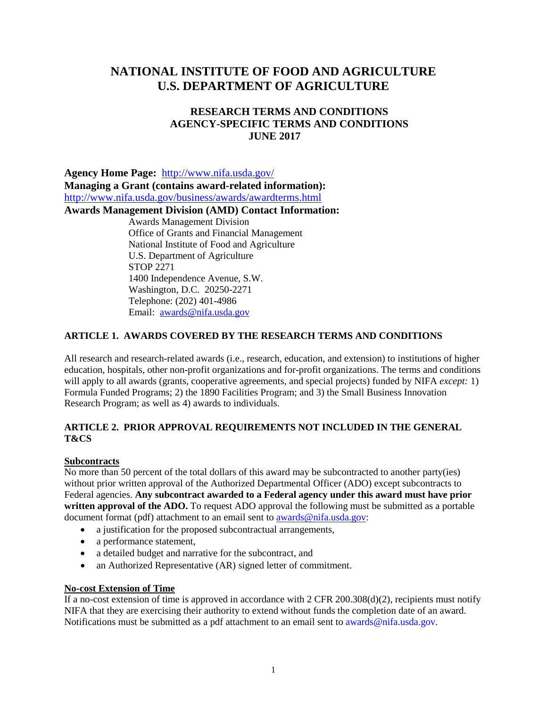# **NATIONAL INSTITUTE OF FOOD AND AGRICULTURE U.S. DEPARTMENT OF AGRICULTURE**

## **RESEARCH TERMS AND CONDITIONS AGENCY-SPECIFIC TERMS AND CONDITIONS JUNE 2017**

**Agency Home Page:** <http://www.nifa.usda.gov/> **Managing a Grant (contains award-related information):**  <http://www.nifa.usda.gov/business/awards/awardterms.html> **Awards Management Division (AMD) Contact Information:** Awards Management Division Office of Grants and Financial Management National Institute of Food and Agriculture U.S. Department of Agriculture STOP 2271 1400 Independence Avenue, S.W. Washington, D.C. 20250-2271 Telephone: (202) 401-4986 Email: [awards@nifa.usda.gov](mailto:awards@nifa.usda.gov)

## **ARTICLE 1. AWARDS COVERED BY THE RESEARCH TERMS AND CONDITIONS**

All research and research-related awards (i.e., research, education, and extension) to institutions of higher education, hospitals, other non-profit organizations and for-profit organizations. The terms and conditions will apply to all awards (grants, cooperative agreements, and special projects) funded by NIFA *except:* 1) Formula Funded Programs; 2) the 1890 Facilities Program; and 3) the Small Business Innovation Research Program; as well as 4) awards to individuals.

## **ARTICLE 2. PRIOR APPROVAL REQUIREMENTS NOT INCLUDED IN THE GENERAL T&CS**

## **Subcontracts**

No more than 50 percent of the total dollars of this award may be subcontracted to another party(ies) without prior written approval of the Authorized Departmental Officer (ADO) except subcontracts to Federal agencies. **Any subcontract awarded to a Federal agency under this award must have prior**  written approval of the ADO. To request ADO approval the following must be submitted as a portable document format (pdf) attachment to an email sent to [awards@nifa.usda.gov:](mailto:awards@nifa.usda.gov)

- a justification for the proposed subcontractual arrangements,
- a performance statement,
- a detailed budget and narrative for the subcontract, and
- an Authorized Representative (AR) signed letter of commitment.

### **No-cost Extension of Time**

If a no-cost extension of time is approved in accordance with  $2$  CFR 200.308(d)(2), recipients must notify NIFA that they are exercising their authority to extend without funds the completion date of an award. Notifications must be submitted as a pdf attachment to an email sent to [awards@nifa.usda.gov.](mailto:awards@nifa.usda.gov)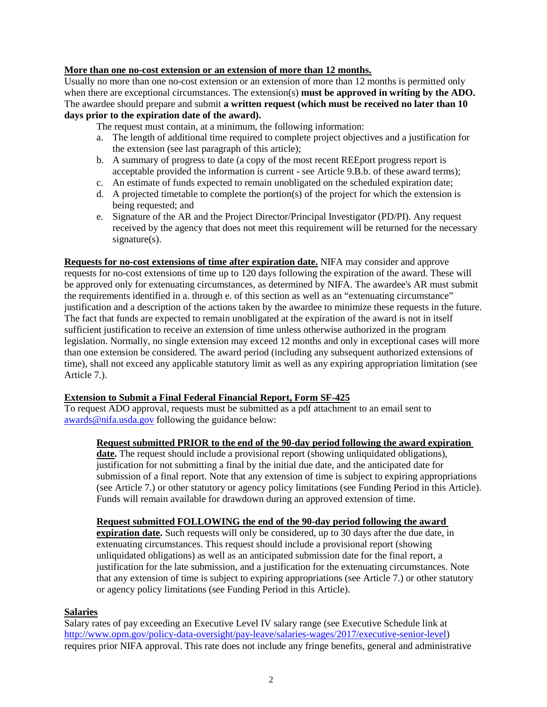## **More than one no-cost extension or an extension of more than 12 months.**

Usually no more than one no-cost extension or an extension of more than 12 months is permitted only when there are exceptional circumstances. The extension(s) **must be approved in writing by the ADO.** The awardee should prepare and submit **a written request (which must be received no later than 10 days prior to the expiration date of the award).**

The request must contain, at a minimum, the following information:

- a. The length of additional time required to complete project objectives and a justification for the extension (see last paragraph of this article);
- b. A summary of progress to date (a copy of the most recent REEport progress report is acceptable provided the information is current - see Article 9.B.b. of these award terms);
- c. An estimate of funds expected to remain unobligated on the scheduled expiration date;
- d. A projected timetable to complete the portion(s) of the project for which the extension is being requested; and
- e. Signature of the AR and the Project Director/Principal Investigator (PD/PI). Any request received by the agency that does not meet this requirement will be returned for the necessary signature(s).

**Requests for no-cost extensions of time after expiration date.** NIFA may consider and approve requests for no-cost extensions of time up to 120 days following the expiration of the award. These will be approved only for extenuating circumstances, as determined by NIFA. The awardee's AR must submit the requirements identified in a. through e. of this section as well as an "extenuating circumstance" justification and a description of the actions taken by the awardee to minimize these requests in the future. The fact that funds are expected to remain unobligated at the expiration of the award is not in itself sufficient justification to receive an extension of time unless otherwise authorized in the program legislation. Normally, no single extension may exceed 12 months and only in exceptional cases will more than one extension be considered. The award period (including any subsequent authorized extensions of time), shall not exceed any applicable statutory limit as well as any expiring appropriation limitation (see Article 7.).

## **Extension to Submit a Final Federal Financial Report, Form SF-425**

To request ADO approval, requests must be submitted as a pdf attachment to an email sent to [awards@nifa.usda.gov](mailto:awards@nifa.usda.gov) following the guidance below:

## **Request submitted PRIOR to the end of the 90-day period following the award expiration**

date. The request should include a provisional report (showing unliquidated obligations), justification for not submitting a final by the initial due date, and the anticipated date for submission of a final report. Note that any extension of time is subject to expiring appropriations (see Article 7.) or other statutory or agency policy limitations (see Funding Period in this Article). Funds will remain available for drawdown during an approved extension of time.

### **Request submitted FOLLOWING the end of the 90-day period following the award**

**expiration date.** Such requests will only be considered, up to 30 days after the due date, in extenuating circumstances. This request should include a provisional report (showing unliquidated obligations) as well as an anticipated submission date for the final report, a justification for the late submission, and a justification for the extenuating circumstances. Note that any extension of time is subject to expiring appropriations (see Article 7.) or other statutory or agency policy limitations (see Funding Period in this Article).

### **Salaries**

Salary rates of pay exceeding an Executive Level IV salary range (see Executive Schedule link at [http://www.opm.gov/policy-data-oversight/pay-leave/salaries-wages/2017/executive-senior-level\)](http://www.opm.gov/policy-data-oversight/pay-leave/salaries-wages/2017/executive-senior-level) requires prior NIFA approval. This rate does not include any fringe benefits, general and administrative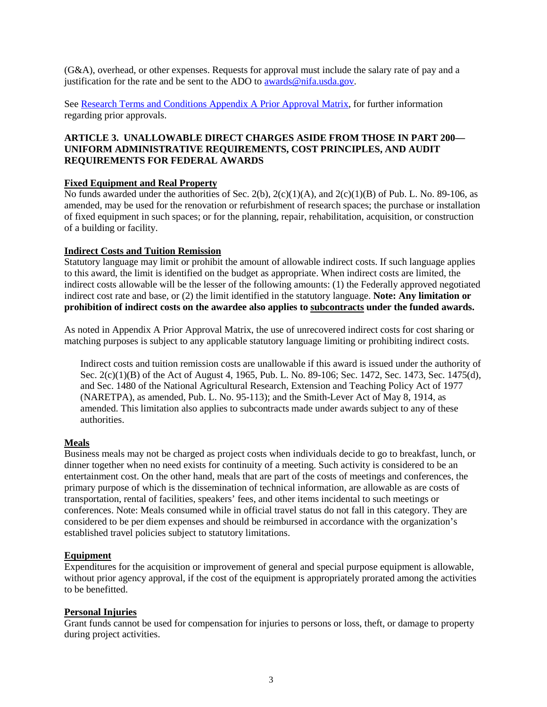(G&A), overhead, or other expenses. Requests for approval must include the salary rate of pay and a justification for the rate and be sent to the ADO to [awards@nifa.usda.gov.](mailto:awards@nifa.usda.gov)

See [Research Terms and Conditions Appendix A Prior Approval Matrix,](https://www.nsf.gov/awards/managing/rtc.jsp) for further information regarding prior approvals.

### **ARTICLE 3. UNALLOWABLE DIRECT CHARGES ASIDE FROM THOSE IN PART 200— UNIFORM ADMINISTRATIVE REQUIREMENTS, COST PRINCIPLES, AND AUDIT REQUIREMENTS FOR FEDERAL AWARDS**

### **Fixed Equipment and Real Property**

No funds awarded under the authorities of Sec. 2(b), 2(c)(1)(A), and 2(c)(1)(B) of Pub. L. No. 89-106, as amended, may be used for the renovation or refurbishment of research spaces; the purchase or installation of fixed equipment in such spaces; or for the planning, repair, rehabilitation, acquisition, or construction of a building or facility.

### **Indirect Costs and Tuition Remission**

Statutory language may limit or prohibit the amount of allowable indirect costs. If such language applies to this award, the limit is identified on the budget as appropriate. When indirect costs are limited, the indirect costs allowable will be the lesser of the following amounts: (1) the Federally approved negotiated indirect cost rate and base, or (2) the limit identified in the statutory language. **Note: Any limitation or prohibition of indirect costs on the awardee also applies to subcontracts under the funded awards.**

As noted in Appendix A Prior Approval Matrix, the use of unrecovered indirect costs for cost sharing or matching purposes is subject to any applicable statutory language limiting or prohibiting indirect costs.

Indirect costs and tuition remission costs are unallowable if this award is issued under the authority of Sec. 2(c)(1)(B) of the Act of August 4, 1965, Pub. L. No. 89-106; Sec. 1472, Sec. 1473, Sec. 1475(d), and Sec. 1480 of the National Agricultural Research, Extension and Teaching Policy Act of 1977 (NARETPA), as amended, Pub. L. No. 95-113); and the Smith-Lever Act of May 8, 1914, as amended. This limitation also applies to subcontracts made under awards subject to any of these authorities.

### **Meals**

Business meals may not be charged as project costs when individuals decide to go to breakfast, lunch, or dinner together when no need exists for continuity of a meeting. Such activity is considered to be an entertainment cost. On the other hand, meals that are part of the costs of meetings and conferences, the primary purpose of which is the dissemination of technical information, are allowable as are costs of transportation, rental of facilities, speakers' fees, and other items incidental to such meetings or conferences. Note: Meals consumed while in official travel status do not fall in this category. They are considered to be per diem expenses and should be reimbursed in accordance with the organization's established travel policies subject to statutory limitations.

#### **Equipment**

Expenditures for the acquisition or improvement of general and special purpose equipment is allowable, without prior agency approval, if the cost of the equipment is appropriately prorated among the activities to be benefitted.

#### **Personal Injuries**

Grant funds cannot be used for compensation for injuries to persons or loss, theft, or damage to property during project activities.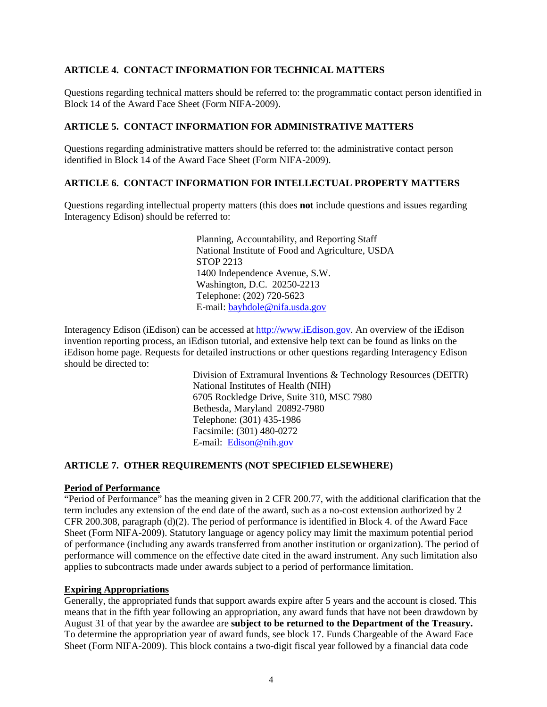### **ARTICLE 4. CONTACT INFORMATION FOR TECHNICAL MATTERS**

Questions regarding technical matters should be referred to: the programmatic contact person identified in Block 14 of the Award Face Sheet (Form NIFA-2009).

### **ARTICLE 5. CONTACT INFORMATION FOR ADMINISTRATIVE MATTERS**

Questions regarding administrative matters should be referred to: the administrative contact person identified in Block 14 of the Award Face Sheet (Form NIFA-2009).

### **ARTICLE 6. CONTACT INFORMATION FOR INTELLECTUAL PROPERTY MATTERS**

Questions regarding intellectual property matters (this does **not** include questions and issues regarding Interagency Edison) should be referred to:

> Planning, Accountability, and Reporting Staff National Institute of Food and Agriculture, USDA STOP 2213 1400 Independence Avenue, S.W. Washington, D.C. 20250-2213 Telephone: (202) 720-5623 E-mail: [bayhdole@nifa.usda.gov](mailto:bayhdole@nifa.usda.gov)

Interagency Edison (iEdison) can be accessed a[t http://www.iEdison.gov.](http://www.iedison.gov/) An overview of the iEdison invention reporting process, an iEdison tutorial, and extensive help text can be found as links on the iEdison home page. Requests for detailed instructions or other questions regarding Interagency Edison should be directed to:

> Division of Extramural Inventions & Technology Resources (DEITR) National Institutes of Health (NIH) 6705 Rockledge Drive, Suite 310, MSC 7980 Bethesda, Maryland 20892-7980 Telephone: (301) 435-1986 Facsimile: (301) 480-0272 E-mail: [Edison@nih.gov](mailto:Edison@nih.gov)

### **ARTICLE 7. OTHER REQUIREMENTS (NOT SPECIFIED ELSEWHERE)**

## **Period of Performance**

"Period of Performance" has the meaning given in 2 CFR 200.77, with the additional clarification that the term includes any extension of the end date of the award, such as a no-cost extension authorized by 2 CFR 200.308, paragraph (d)(2). The period of performance is identified in Block 4. of the Award Face Sheet (Form NIFA-2009). Statutory language or agency policy may limit the maximum potential period of performance (including any awards transferred from another institution or organization). The period of performance will commence on the effective date cited in the award instrument. Any such limitation also applies to subcontracts made under awards subject to a period of performance limitation.

### **Expiring Appropriations**

Generally, the appropriated funds that support awards expire after 5 years and the account is closed. This means that in the fifth year following an appropriation, any award funds that have not been drawdown by August 31 of that year by the awardee are **subject to be returned to the Department of the Treasury.** To determine the appropriation year of award funds, see block 17. Funds Chargeable of the Award Face Sheet (Form NIFA-2009). This block contains a two-digit fiscal year followed by a financial data code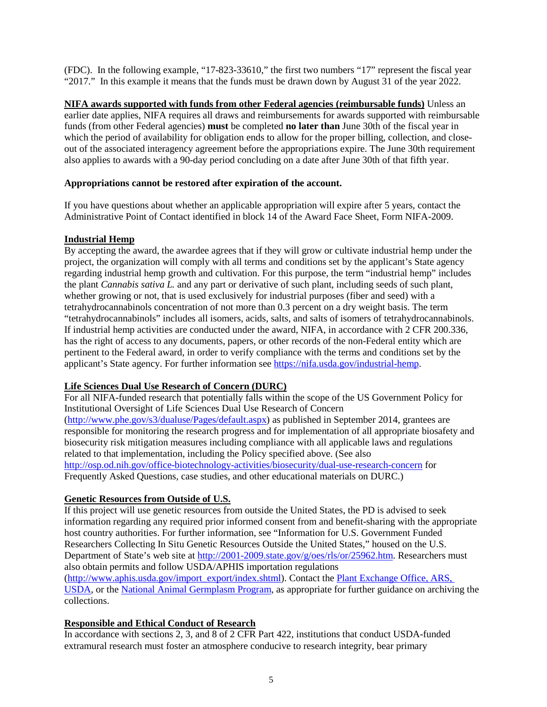(FDC). In the following example, "17-823-33610," the first two numbers "17" represent the fiscal year "2017." In this example it means that the funds must be drawn down by August 31 of the year 2022.

**NIFA awards supported with funds from other Federal agencies (reimbursable funds)** Unless an earlier date applies, NIFA requires all draws and reimbursements for awards supported with reimbursable funds (from other Federal agencies) **must** be completed **no later than** June 30th of the fiscal year in which the period of availability for obligation ends to allow for the proper billing, collection, and closeout of the associated interagency agreement before the appropriations expire. The June 30th requirement also applies to awards with a 90-day period concluding on a date after June 30th of that fifth year.

## **Appropriations cannot be restored after expiration of the account.**

If you have questions about whether an applicable appropriation will expire after 5 years, contact the Administrative Point of Contact identified in block 14 of the Award Face Sheet, Form NIFA-2009.

## **Industrial Hemp**

By accepting the award, the awardee agrees that if they will grow or cultivate industrial hemp under the project, the organization will comply with all terms and conditions set by the applicant's State agency regarding industrial hemp growth and cultivation. For this purpose, the term "industrial hemp" includes the plant *Cannabis sativa L.* and any part or derivative of such plant, including seeds of such plant, whether growing or not, that is used exclusively for industrial purposes (fiber and seed) with a tetrahydrocannabinols concentration of not more than 0.3 percent on a dry weight basis. The term "tetrahydrocannabinols" includes all isomers, acids, salts, and salts of isomers of tetrahydrocannabinols. If industrial hemp activities are conducted under the award, NIFA, in accordance with 2 CFR 200.336, has the right of access to any documents, papers, or other records of the non-Federal entity which are pertinent to the Federal award, in order to verify compliance with the terms and conditions set by the applicant's State agency. For further information see [https://nifa.usda.gov/industrial-hemp.](https://nifa.usda.gov/industrial-hemp)

## **Life Sciences Dual Use Research of Concern (DURC)**

For all NIFA-funded research that potentially falls within the scope of the US Government Policy for Institutional Oversight of Life Sciences Dual Use Research of Concern [\(http://www.phe.gov/s3/dualuse/Pages/default.aspx\)](http://www.phe.gov/s3/dualuse/Pages/default.aspx) as published in September 2014, grantees are responsible for monitoring the research progress and for implementation of all appropriate biosafety and biosecurity risk mitigation measures including compliance with all applicable laws and regulations related to that implementation, including the Policy specified above. (See also <http://osp.od.nih.gov/office-biotechnology-activities/biosecurity/dual-use-research-concern> for Frequently Asked Questions, case studies, and other educational materials on DURC.)

## **Genetic Resources from Outside of U.S.**

If this project will use genetic resources from outside the United States, the PD is advised to seek information regarding any required prior informed consent from and benefit-sharing with the appropriate host country authorities. For further information, see "Information for U.S. Government Funded Researchers Collecting In Situ Genetic Resources Outside the United States," housed on the U.S. Department of State's web site at [http://2001-2009.state.gov/g/oes/rls/or/25962.htm.](http://2001-2009.state.gov/g/oes/rls/or/25962.htm) Researchers must also obtain permits and follow USDA/APHIS importation regulations [\(http://www.aphis.usda.gov/import\\_export/index.shtml\)](http://www.aphis.usda.gov/import_export/index.shtml). Contact the [Plant Exchange Office, ARS,](https://www.ars.usda.gov/northeast-area/beltsville-md/beltsville-agricultural-research-center/national-germplasm-resources-laboratory/docs/plant-exchange-office/)  [USDA,](https://www.ars.usda.gov/northeast-area/beltsville-md/beltsville-agricultural-research-center/national-germplasm-resources-laboratory/docs/plant-exchange-office/) or the [National Animal Germplasm Program,](https://www.ars.usda.gov/plains-area/fort-collins-co/center-for-agricultural-resources-research/plant-and-animal-genetic-resources-preservation/docs/national-animal-germplasm-program-nagp/) as appropriate for further guidance on archiving the collections.

## **Responsible and Ethical Conduct of Research**

In accordance with sections 2, 3, and 8 of 2 CFR Part 422, institutions that conduct USDA-funded extramural research must foster an atmosphere conducive to research integrity, bear primary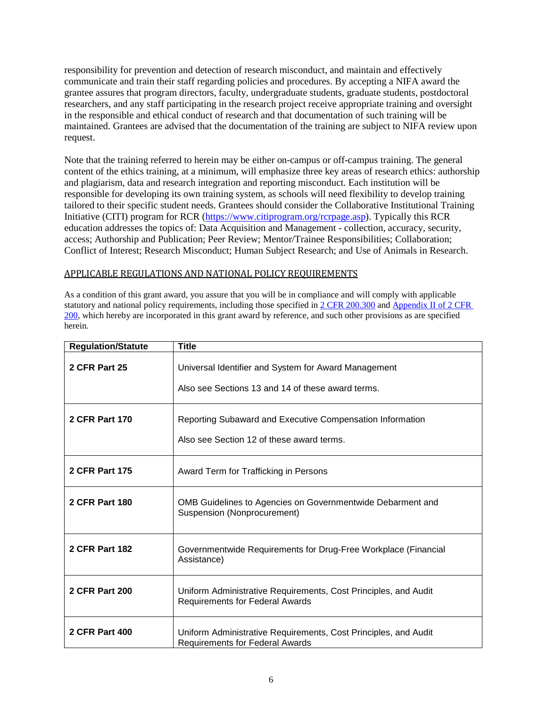responsibility for prevention and detection of research misconduct, and maintain and effectively communicate and train their staff regarding policies and procedures. By accepting a NIFA award the grantee assures that program directors, faculty, undergraduate students, graduate students, postdoctoral researchers, and any staff participating in the research project receive appropriate training and oversight in the responsible and ethical conduct of research and that documentation of such training will be maintained. Grantees are advised that the documentation of the training are subject to NIFA review upon request.

Note that the training referred to herein may be either on-campus or off-campus training. The general content of the ethics training, at a minimum, will emphasize three key areas of research ethics: authorship and plagiarism, data and research integration and reporting misconduct. Each institution will be responsible for developing its own training system, as schools will need flexibility to develop training tailored to their specific student needs. Grantees should consider the Collaborative Institutional Training Initiative (CITI) program for RCR [\(https://www.citiprogram.org/rcrpage.asp\)](https://www.citiprogram.org/rcrpage.asp). Typically this RCR education addresses the topics of: Data Acquisition and Management - collection, accuracy, security, access; Authorship and Publication; Peer Review; Mentor/Trainee Responsibilities; Collaboration; Conflict of Interest; Research Misconduct; Human Subject Research; and Use of Animals in Research.

### APPLICABLE REGULATIONS AND NATIONAL POLICY REQUIREMENTS

As a condition of this grant award, you assure that you will be in compliance and will comply with applicable statutory and national policy requirements, including those specified i[n 2 CFR 200.300](http://www.ecfr.gov/cgi-bin/text-idx?SID=c2f487b0f7efc268028a8ae426b2bfb7&mc=true&node=se2.1.200_1300&rgn=div8) and Appendix II of 2 CFR [200,](http://www.ecfr.gov/cgi-bin/text-idx?SID=c2f487b0f7efc268028a8ae426b2bfb7&mc=true&node=ap2.1.200_1521.ii&rgn=div9) which hereby are incorporated in this grant award by reference, and such other provisions as are specified herein.

| <b>Regulation/Statute</b> | <b>Title</b>                                                                                              |
|---------------------------|-----------------------------------------------------------------------------------------------------------|
| 2 CFR Part 25             | Universal Identifier and System for Award Management<br>Also see Sections 13 and 14 of these award terms. |
| <b>2 CFR Part 170</b>     | Reporting Subaward and Executive Compensation Information<br>Also see Section 12 of these award terms.    |
| <b>2 CFR Part 175</b>     | Award Term for Trafficking in Persons                                                                     |
| <b>2 CFR Part 180</b>     | OMB Guidelines to Agencies on Governmentwide Debarment and<br>Suspension (Nonprocurement)                 |
| <b>2 CFR Part 182</b>     | Governmentwide Requirements for Drug-Free Workplace (Financial<br>Assistance)                             |
| <b>2 CFR Part 200</b>     | Uniform Administrative Requirements, Cost Principles, and Audit<br><b>Requirements for Federal Awards</b> |
| <b>2 CFR Part 400</b>     | Uniform Administrative Requirements, Cost Principles, and Audit<br><b>Requirements for Federal Awards</b> |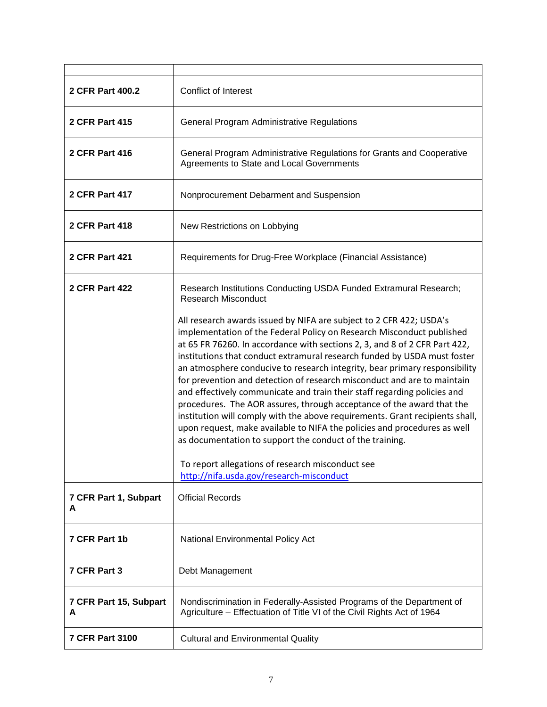| 2 CFR Part 400.2            | <b>Conflict of Interest</b>                                                                                                                                                                                                                                                                                                                                                                                                                                                                                                                                                                                                                                                                                                                                                                                                                                                                                                                  |  |
|-----------------------------|----------------------------------------------------------------------------------------------------------------------------------------------------------------------------------------------------------------------------------------------------------------------------------------------------------------------------------------------------------------------------------------------------------------------------------------------------------------------------------------------------------------------------------------------------------------------------------------------------------------------------------------------------------------------------------------------------------------------------------------------------------------------------------------------------------------------------------------------------------------------------------------------------------------------------------------------|--|
| 2 CFR Part 415              | <b>General Program Administrative Regulations</b>                                                                                                                                                                                                                                                                                                                                                                                                                                                                                                                                                                                                                                                                                                                                                                                                                                                                                            |  |
| <b>2 CFR Part 416</b>       | General Program Administrative Regulations for Grants and Cooperative<br>Agreements to State and Local Governments                                                                                                                                                                                                                                                                                                                                                                                                                                                                                                                                                                                                                                                                                                                                                                                                                           |  |
| <b>2 CFR Part 417</b>       | Nonprocurement Debarment and Suspension                                                                                                                                                                                                                                                                                                                                                                                                                                                                                                                                                                                                                                                                                                                                                                                                                                                                                                      |  |
| <b>2 CFR Part 418</b>       | New Restrictions on Lobbying                                                                                                                                                                                                                                                                                                                                                                                                                                                                                                                                                                                                                                                                                                                                                                                                                                                                                                                 |  |
| <b>2 CFR Part 421</b>       | Requirements for Drug-Free Workplace (Financial Assistance)                                                                                                                                                                                                                                                                                                                                                                                                                                                                                                                                                                                                                                                                                                                                                                                                                                                                                  |  |
| <b>2 CFR Part 422</b>       | Research Institutions Conducting USDA Funded Extramural Research;<br><b>Research Misconduct</b>                                                                                                                                                                                                                                                                                                                                                                                                                                                                                                                                                                                                                                                                                                                                                                                                                                              |  |
|                             | All research awards issued by NIFA are subject to 2 CFR 422; USDA's<br>implementation of the Federal Policy on Research Misconduct published<br>at 65 FR 76260. In accordance with sections 2, 3, and 8 of 2 CFR Part 422,<br>institutions that conduct extramural research funded by USDA must foster<br>an atmosphere conducive to research integrity, bear primary responsibility<br>for prevention and detection of research misconduct and are to maintain<br>and effectively communicate and train their staff regarding policies and<br>procedures. The AOR assures, through acceptance of the award that the<br>institution will comply with the above requirements. Grant recipients shall,<br>upon request, make available to NIFA the policies and procedures as well<br>as documentation to support the conduct of the training.<br>To report allegations of research misconduct see<br>http://nifa.usda.gov/research-misconduct |  |
| 7 CFR Part 1, Subpart<br>A  | <b>Official Records</b>                                                                                                                                                                                                                                                                                                                                                                                                                                                                                                                                                                                                                                                                                                                                                                                                                                                                                                                      |  |
| 7 CFR Part 1b               | National Environmental Policy Act                                                                                                                                                                                                                                                                                                                                                                                                                                                                                                                                                                                                                                                                                                                                                                                                                                                                                                            |  |
| 7 CFR Part 3                | Debt Management                                                                                                                                                                                                                                                                                                                                                                                                                                                                                                                                                                                                                                                                                                                                                                                                                                                                                                                              |  |
| 7 CFR Part 15, Subpart<br>A | Nondiscrimination in Federally-Assisted Programs of the Department of<br>Agriculture - Effectuation of Title VI of the Civil Rights Act of 1964                                                                                                                                                                                                                                                                                                                                                                                                                                                                                                                                                                                                                                                                                                                                                                                              |  |
| <b>7 CFR Part 3100</b>      | <b>Cultural and Environmental Quality</b>                                                                                                                                                                                                                                                                                                                                                                                                                                                                                                                                                                                                                                                                                                                                                                                                                                                                                                    |  |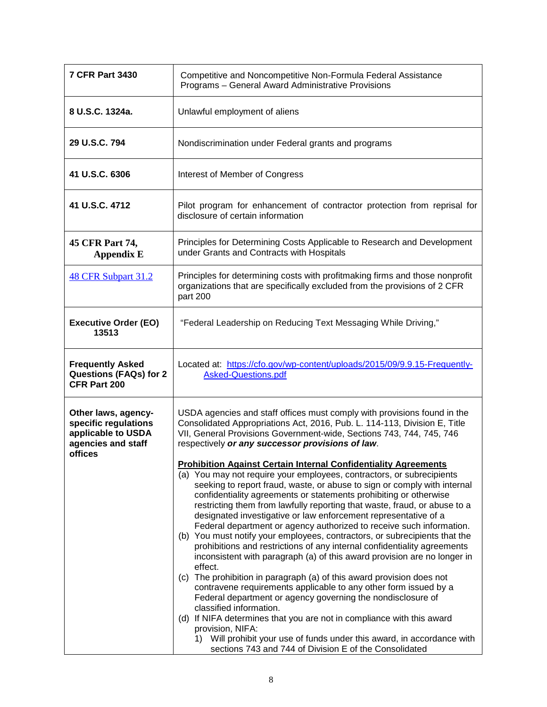| <b>7 CFR Part 3430</b>                                                                             | Competitive and Noncompetitive Non-Formula Federal Assistance<br>Programs - General Award Administrative Provisions                                                                                                                                                                                                                                                                                                                                                                                                                                                                                                                                                                                                                                                                                                                                                                                                                                                                                                                                                                                                                                                                                                                                                                                                                                                                                                                                                                                                                        |  |
|----------------------------------------------------------------------------------------------------|--------------------------------------------------------------------------------------------------------------------------------------------------------------------------------------------------------------------------------------------------------------------------------------------------------------------------------------------------------------------------------------------------------------------------------------------------------------------------------------------------------------------------------------------------------------------------------------------------------------------------------------------------------------------------------------------------------------------------------------------------------------------------------------------------------------------------------------------------------------------------------------------------------------------------------------------------------------------------------------------------------------------------------------------------------------------------------------------------------------------------------------------------------------------------------------------------------------------------------------------------------------------------------------------------------------------------------------------------------------------------------------------------------------------------------------------------------------------------------------------------------------------------------------------|--|
| 8 U.S.C. 1324a.                                                                                    | Unlawful employment of aliens                                                                                                                                                                                                                                                                                                                                                                                                                                                                                                                                                                                                                                                                                                                                                                                                                                                                                                                                                                                                                                                                                                                                                                                                                                                                                                                                                                                                                                                                                                              |  |
| 29 U.S.C. 794                                                                                      | Nondiscrimination under Federal grants and programs                                                                                                                                                                                                                                                                                                                                                                                                                                                                                                                                                                                                                                                                                                                                                                                                                                                                                                                                                                                                                                                                                                                                                                                                                                                                                                                                                                                                                                                                                        |  |
| 41 U.S.C. 6306                                                                                     | Interest of Member of Congress                                                                                                                                                                                                                                                                                                                                                                                                                                                                                                                                                                                                                                                                                                                                                                                                                                                                                                                                                                                                                                                                                                                                                                                                                                                                                                                                                                                                                                                                                                             |  |
| 41 U.S.C. 4712                                                                                     | Pilot program for enhancement of contractor protection from reprisal for<br>disclosure of certain information                                                                                                                                                                                                                                                                                                                                                                                                                                                                                                                                                                                                                                                                                                                                                                                                                                                                                                                                                                                                                                                                                                                                                                                                                                                                                                                                                                                                                              |  |
| 45 CFR Part 74,<br><b>Appendix E</b>                                                               | Principles for Determining Costs Applicable to Research and Development<br>under Grants and Contracts with Hospitals                                                                                                                                                                                                                                                                                                                                                                                                                                                                                                                                                                                                                                                                                                                                                                                                                                                                                                                                                                                                                                                                                                                                                                                                                                                                                                                                                                                                                       |  |
| 48 CFR Subpart 31.2                                                                                | Principles for determining costs with profitmaking firms and those nonprofit<br>organizations that are specifically excluded from the provisions of 2 CFR<br>part 200                                                                                                                                                                                                                                                                                                                                                                                                                                                                                                                                                                                                                                                                                                                                                                                                                                                                                                                                                                                                                                                                                                                                                                                                                                                                                                                                                                      |  |
| <b>Executive Order (EO)</b><br>13513                                                               | "Federal Leadership on Reducing Text Messaging While Driving,"                                                                                                                                                                                                                                                                                                                                                                                                                                                                                                                                                                                                                                                                                                                                                                                                                                                                                                                                                                                                                                                                                                                                                                                                                                                                                                                                                                                                                                                                             |  |
| <b>Frequently Asked</b><br><b>Questions (FAQs) for 2</b><br>CFR Part 200                           | Located at: https://cfo.gov/wp-content/uploads/2015/09/9.9.15-Frequently-<br><b>Asked-Questions.pdf</b>                                                                                                                                                                                                                                                                                                                                                                                                                                                                                                                                                                                                                                                                                                                                                                                                                                                                                                                                                                                                                                                                                                                                                                                                                                                                                                                                                                                                                                    |  |
| Other laws, agency-<br>specific regulations<br>applicable to USDA<br>agencies and staff<br>offices | USDA agencies and staff offices must comply with provisions found in the<br>Consolidated Appropriations Act, 2016, Pub. L. 114-113, Division E, Title<br>VII, General Provisions Government-wide, Sections 743, 744, 745, 746<br>respectively or any successor provisions of law.<br><b>Prohibition Against Certain Internal Confidentiality Agreements</b><br>(a) You may not require your employees, contractors, or subrecipients<br>seeking to report fraud, waste, or abuse to sign or comply with internal<br>confidentiality agreements or statements prohibiting or otherwise<br>restricting them from lawfully reporting that waste, fraud, or abuse to a<br>designated investigative or law enforcement representative of a<br>Federal department or agency authorized to receive such information.<br>(b) You must notify your employees, contractors, or subrecipients that the<br>prohibitions and restrictions of any internal confidentiality agreements<br>inconsistent with paragraph (a) of this award provision are no longer in<br>effect.<br>(c) The prohibition in paragraph (a) of this award provision does not<br>contravene requirements applicable to any other form issued by a<br>Federal department or agency governing the nondisclosure of<br>classified information.<br>(d) If NIFA determines that you are not in compliance with this award<br>provision, NIFA:<br>Will prohibit your use of funds under this award, in accordance with<br>1)<br>sections 743 and 744 of Division E of the Consolidated |  |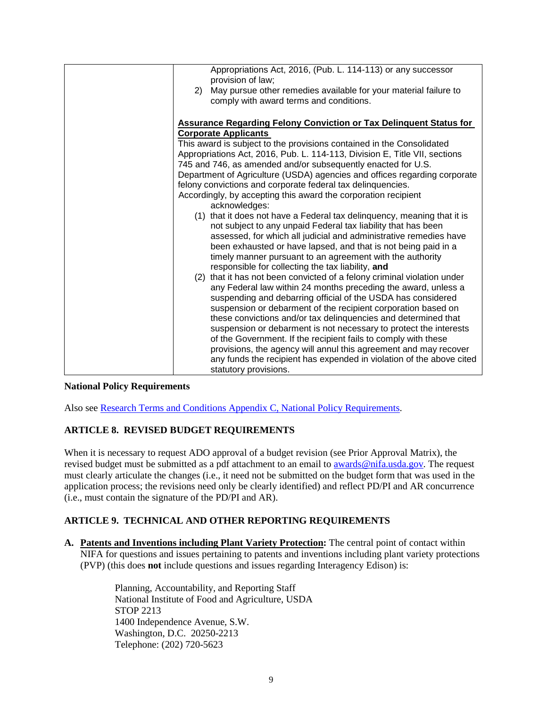| 2) | Appropriations Act, 2016, (Pub. L. 114-113) or any successor<br>provision of law;<br>May pursue other remedies available for your material failure to |
|----|-------------------------------------------------------------------------------------------------------------------------------------------------------|
|    | comply with award terms and conditions.                                                                                                               |
|    |                                                                                                                                                       |
|    | <b>Assurance Regarding Felony Conviction or Tax Delinquent Status for</b>                                                                             |
|    | <b>Corporate Applicants</b>                                                                                                                           |
|    | This award is subject to the provisions contained in the Consolidated                                                                                 |
|    | Appropriations Act, 2016, Pub. L. 114-113, Division E, Title VII, sections                                                                            |
|    | 745 and 746, as amended and/or subsequently enacted for U.S.                                                                                          |
|    | Department of Agriculture (USDA) agencies and offices regarding corporate                                                                             |
|    | felony convictions and corporate federal tax delinquencies.                                                                                           |
|    | Accordingly, by accepting this award the corporation recipient                                                                                        |
|    | acknowledges:                                                                                                                                         |
|    | (1) that it does not have a Federal tax delinguency, meaning that it is<br>not subject to any unpaid Federal tax liability that has been              |
|    | assessed, for which all judicial and administrative remedies have                                                                                     |
|    | been exhausted or have lapsed, and that is not being paid in a                                                                                        |
|    | timely manner pursuant to an agreement with the authority                                                                                             |
|    |                                                                                                                                                       |
|    | responsible for collecting the tax liability, and                                                                                                     |
|    | (2) that it has not been convicted of a felony criminal violation under                                                                               |
|    | any Federal law within 24 months preceding the award, unless a                                                                                        |
|    | suspending and debarring official of the USDA has considered                                                                                          |
|    | suspension or debarment of the recipient corporation based on                                                                                         |
|    | these convictions and/or tax delinquencies and determined that                                                                                        |
|    | suspension or debarment is not necessary to protect the interests                                                                                     |
|    | of the Government. If the recipient fails to comply with these                                                                                        |
|    | provisions, the agency will annul this agreement and may recover                                                                                      |
|    | any funds the recipient has expended in violation of the above cited                                                                                  |
|    | statutory provisions.                                                                                                                                 |

### **National Policy Requirements**

Also see [Research Terms and Conditions Appendix C, National Policy Requirements.](https://www.nsf.gov/awards/managing/rtc.jsp)

## **ARTICLE 8. REVISED BUDGET REQUIREMENTS**

When it is necessary to request ADO approval of a budget revision (see Prior Approval Matrix), the revised budget must be submitted as a pdf attachment to an email to **awards@nifa.usda.gov**. The request must clearly articulate the changes (i.e., it need not be submitted on the budget form that was used in the application process; the revisions need only be clearly identified) and reflect PD/PI and AR concurrence (i.e., must contain the signature of the PD/PI and AR).

## **ARTICLE 9. TECHNICAL AND OTHER REPORTING REQUIREMENTS**

**A. Patents and Inventions including Plant Variety Protection:** The central point of contact within NIFA for questions and issues pertaining to patents and inventions including plant variety protections (PVP) (this does **not** include questions and issues regarding Interagency Edison) is:

> Planning, Accountability, and Reporting Staff National Institute of Food and Agriculture, USDA STOP 2213 1400 Independence Avenue, S.W. Washington, D.C. 20250-2213 Telephone: (202) 720-5623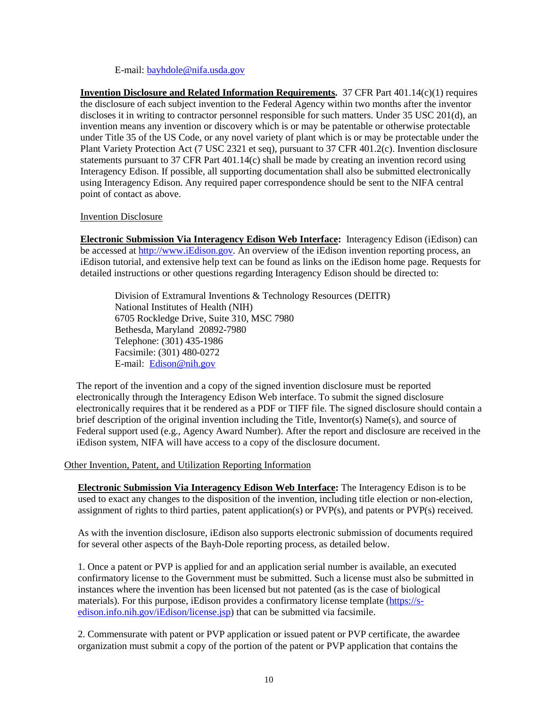### E-mail: [bayhdole@nifa.usda.gov](mailto:bayhdole@nifa.usda.gov)

**Invention Disclosure and Related Information Requirements.** 37 CFR Part 401.14(c)(1) requires the disclosure of each subject invention to the Federal Agency within two months after the inventor discloses it in writing to contractor personnel responsible for such matters. Under 35 USC 201(d), an invention means any invention or discovery which is or may be patentable or otherwise protectable under Title 35 of the US Code, or any novel variety of plant which is or may be protectable under the Plant Variety Protection Act (7 USC 2321 et seq), pursuant to 37 CFR 401.2(c). Invention disclosure statements pursuant to 37 CFR Part 401.14(c) shall be made by creating an invention record using Interagency Edison. If possible, all supporting documentation shall also be submitted electronically using Interagency Edison. Any required paper correspondence should be sent to the NIFA central point of contact as above.

### Invention Disclosure

**Electronic Submission Via Interagency Edison Web Interface:** Interagency Edison (iEdison) can be accessed at [http://www.iEdison.gov.](http://www.iedison.gov/) An overview of the iEdison invention reporting process, an iEdison tutorial, and extensive help text can be found as links on the iEdison home page. Requests for detailed instructions or other questions regarding Interagency Edison should be directed to:

Division of Extramural Inventions & Technology Resources (DEITR) National Institutes of Health (NIH) 6705 Rockledge Drive, Suite 310, MSC 7980 Bethesda, Maryland 20892-7980 Telephone: (301) 435-1986 Facsimile: (301) 480-0272 E-mail: [Edison@nih.gov](mailto:Edison@nih.gov)

The report of the invention and a copy of the signed invention disclosure must be reported electronically through the Interagency Edison Web interface. To submit the signed disclosure electronically requires that it be rendered as a PDF or TIFF file. The signed disclosure should contain a brief description of the original invention including the Title, Inventor(s) Name(s), and source of Federal support used (e.g., Agency Award Number). After the report and disclosure are received in the iEdison system, NIFA will have access to a copy of the disclosure document.

#### Other Invention, Patent, and Utilization Reporting Information

**Electronic Submission Via Interagency Edison Web Interface:** The Interagency Edison is to be used to exact any changes to the disposition of the invention, including title election or non-election, assignment of rights to third parties, patent application(s) or PVP(s), and patents or PVP(s) received.

As with the invention disclosure, iEdison also supports electronic submission of documents required for several other aspects of the Bayh-Dole reporting process, as detailed below.

1. Once a patent or PVP is applied for and an application serial number is available, an executed confirmatory license to the Government must be submitted. Such a license must also be submitted in instances where the invention has been licensed but not patented (as is the case of biological materials). For this purpose, iEdison provides a confirmatory license template [\(https://s](https://s-edison.info.nih.gov/iEdison/license.jsp)[edison.info.nih.gov/iEdison/license.jsp\)](https://s-edison.info.nih.gov/iEdison/license.jsp) that can be submitted via facsimile.

2. Commensurate with patent or PVP application or issued patent or PVP certificate, the awardee organization must submit a copy of the portion of the patent or PVP application that contains the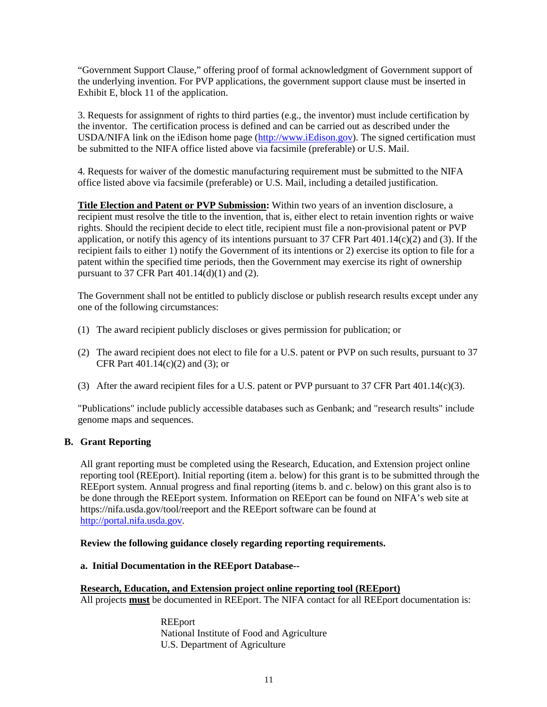"Government Support Clause," offering proof of formal acknowledgment of Government support of the underlying invention. For PVP applications, the government support clause must be inserted in Exhibit E, block 11 of the application.

3. Requests for assignment of rights to third parties (e.g., the inventor) must include certification by the inventor. The certification process is defined and can be carried out as described under the USDA/NIFA link on the iEdison home page [\(http://www.iEdison.gov\)](http://www.iedison.gov/). The signed certification must be submitted to the NIFA office listed above via facsimile (preferable) or U.S. Mail.

4. Requests for waiver of the domestic manufacturing requirement must be submitted to the NIFA office listed above via facsimile (preferable) or U.S. Mail, including a detailed justification.

**Title Election and Patent or PVP Submission:** Within two years of an invention disclosure, a recipient must resolve the title to the invention, that is, either elect to retain invention rights or waive rights. Should the recipient decide to elect title, recipient must file a non-provisional patent or PVP application, or notify this agency of its intentions pursuant to 37 CFR Part 401.14(c)(2) and (3). If the recipient fails to either 1) notify the Government of its intentions or 2) exercise its option to file for a patent within the specified time periods, then the Government may exercise its right of ownership pursuant to 37 CFR Part 401.14(d)(1) and (2).

The Government shall not be entitled to publicly disclose or publish research results except under any one of the following circumstances:

- (1) The award recipient publicly discloses or gives permission for publication; or
- (2) The award recipient does not elect to file for a U.S. patent or PVP on such results, pursuant to 37 CFR Part 401.14(c)(2) and (3); or
- (3) After the award recipient files for a U.S. patent or PVP pursuant to 37 CFR Part  $401.14(c)(3)$ .

"Publications" include publicly accessible databases such as Genbank; and "research results" include genome maps and sequences.

### **B. Grant Reporting**

All grant reporting must be completed using the Research, Education, and Extension project online reporting tool (REEport). Initial reporting (item a. below) for this grant is to be submitted through the REEport system. Annual progress and final reporting (items b. and c. below) on this grant also is to be done through the REEport system. Information on REEport can be found on NIFA's web site at https://nifa.usda.gov/tool/reeport and the REEport software can be found at [http://portal.nifa.usda.gov.](http://portal.nifa.usda.gov/)

**Review the following guidance closely regarding reporting requirements.**

#### **a. Initial Documentation in the REEport Database--**

## **Research, Education, and Extension project online reporting tool (REEport)**

All projects **must** be documented in REEport. The NIFA contact for all REEport documentation is:

REEport National Institute of Food and Agriculture U.S. Department of Agriculture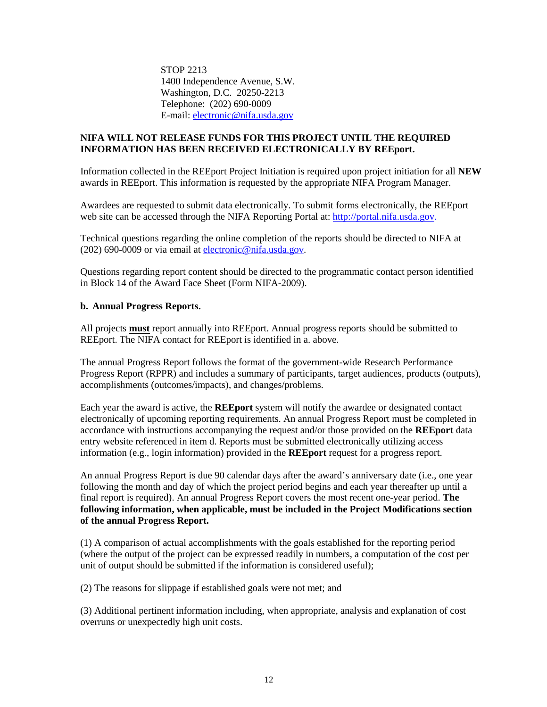STOP 2213 1400 Independence Avenue, S.W. Washington, D.C. 20250-2213 Telephone: (202) 690-0009 E-mail[: electronic@nifa.usda.gov](mailto:cris@nifa.usda.gov)

### **NIFA WILL NOT RELEASE FUNDS FOR THIS PROJECT UNTIL THE REQUIRED INFORMATION HAS BEEN RECEIVED ELECTRONICALLY BY REEport.**

Information collected in the REEport Project Initiation is required upon project initiation for all **NEW** awards in REEport. This information is requested by the appropriate NIFA Program Manager.

Awardees are requested to submit data electronically. To submit forms electronically, the REEport web site can be accessed through the NIFA Reporting Portal at: [http://portal.nifa.usda.gov.](http://portal.nifa.usda.gov/)

Technical questions regarding the online completion of the reports should be directed to NIFA at (202) 690-0009 or via email at [electronic@nifa.usda.gov.](mailto:electronic@nifa.usda.gov)

Questions regarding report content should be directed to the programmatic contact person identified in Block 14 of the Award Face Sheet (Form NIFA-2009).

### **b. Annual Progress Reports.**

All projects **must** report annually into REEport. Annual progress reports should be submitted to REEport. The NIFA contact for REEport is identified in a. above.

The annual Progress Report follows the format of the government-wide Research Performance Progress Report (RPPR) and includes a summary of participants, target audiences, products (outputs), accomplishments (outcomes/impacts), and changes/problems.

Each year the award is active, the **REEport** system will notify the awardee or designated contact electronically of upcoming reporting requirements. An annual Progress Report must be completed in accordance with instructions accompanying the request and/or those provided on the **REEport** data entry website referenced in item d. Reports must be submitted electronically utilizing access information (e.g., login information) provided in the **REEport** request for a progress report.

An annual Progress Report is due 90 calendar days after the award's anniversary date (i.e., one year following the month and day of which the project period begins and each year thereafter up until a final report is required). An annual Progress Report covers the most recent one-year period. **The following information, when applicable, must be included in the Project Modifications section of the annual Progress Report.**

(1) A comparison of actual accomplishments with the goals established for the reporting period (where the output of the project can be expressed readily in numbers, a computation of the cost per unit of output should be submitted if the information is considered useful);

(2) The reasons for slippage if established goals were not met; and

(3) Additional pertinent information including, when appropriate, analysis and explanation of cost overruns or unexpectedly high unit costs.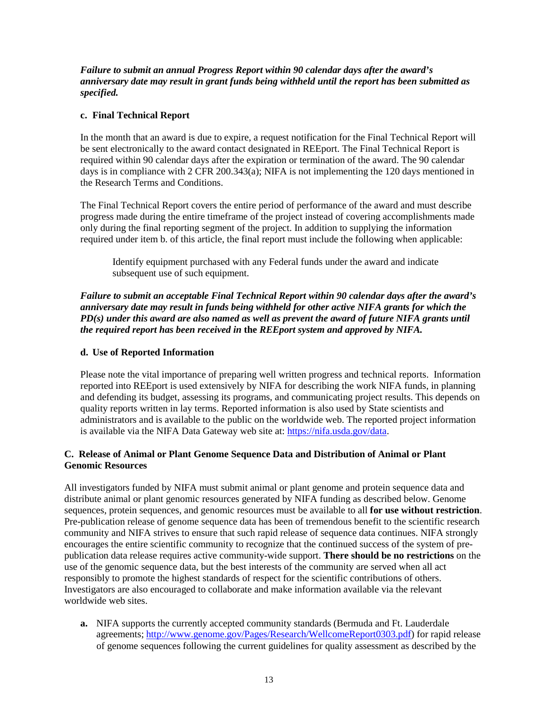*Failure to submit an annual Progress Report within 90 calendar days after the award's anniversary date may result in grant funds being withheld until the report has been submitted as specified.*

## **c. Final Technical Report**

In the month that an award is due to expire, a request notification for the Final Technical Report will be sent electronically to the award contact designated in REEport. The Final Technical Report is required within 90 calendar days after the expiration or termination of the award. The 90 calendar days is in compliance with  $2$  CFR 200.343(a); NIFA is not implementing the 120 days mentioned in the Research Terms and Conditions.

The Final Technical Report covers the entire period of performance of the award and must describe progress made during the entire timeframe of the project instead of covering accomplishments made only during the final reporting segment of the project. In addition to supplying the information required under item b. of this article, the final report must include the following when applicable:

Identify equipment purchased with any Federal funds under the award and indicate subsequent use of such equipment.

*Failure to submit an acceptable Final Technical Report within 90 calendar days after the award's anniversary date may result in funds being withheld for other active NIFA grants for which the PD(s) under this award are also named as well as prevent the award of future NIFA grants until the required report has been received in* **the** *REEport system and approved by NIFA.*

## **d. Use of Reported Information**

Please note the vital importance of preparing well written progress and technical reports. Information reported into REEport is used extensively by NIFA for describing the work NIFA funds, in planning and defending its budget, assessing its programs, and communicating project results. This depends on quality reports written in lay terms. Reported information is also used by State scientists and administrators and is available to the public on the worldwide web. The reported project information is available via the NIFA Data Gateway web site at: [https://nifa.usda.gov/data.](https://nifa.usda.gov/data)

## **C. Release of Animal or Plant Genome Sequence Data and Distribution of Animal or Plant Genomic Resources**

All investigators funded by NIFA must submit animal or plant genome and protein sequence data and distribute animal or plant genomic resources generated by NIFA funding as described below. Genome sequences, protein sequences, and genomic resources must be available to all **for use without restriction**. Pre-publication release of genome sequence data has been of tremendous benefit to the scientific research community and NIFA strives to ensure that such rapid release of sequence data continues. NIFA strongly encourages the entire scientific community to recognize that the continued success of the system of prepublication data release requires active community-wide support. **There should be no restrictions** on the use of the genomic sequence data, but the best interests of the community are served when all act responsibly to promote the highest standards of respect for the scientific contributions of others. Investigators are also encouraged to collaborate and make information available via the relevant worldwide web sites.

**a.** NIFA supports the currently accepted community standards (Bermuda and Ft. Lauderdale agreements; [http://www.genome.gov/Pages/Research/WellcomeReport0303.pdf\)](http://www.genome.gov/Pages/Research/WellcomeReport0303.pdf) for rapid release of genome sequences following the current guidelines for quality assessment as described by the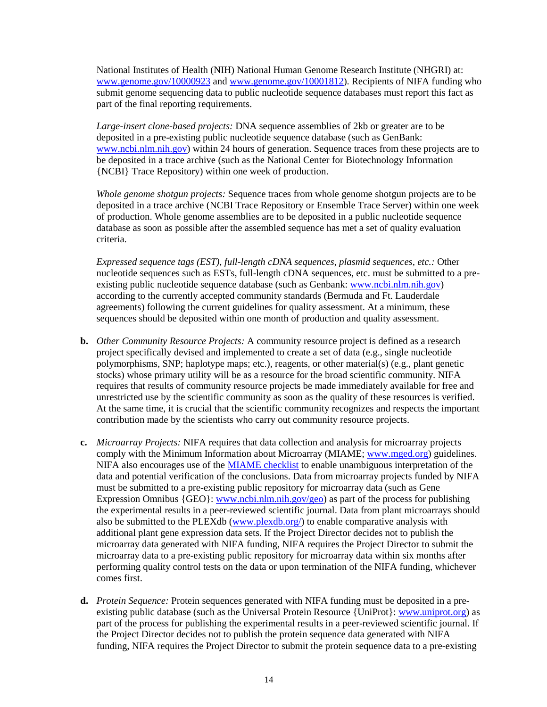National Institutes of Health (NIH) National Human Genome Research Institute (NHGRI) at: [www.genome.gov/10000923](http://www.genome.gov/10000923) and [www.genome.gov/10001812\)](http://www.genome.gov/10001812). Recipients of NIFA funding who submit genome sequencing data to public nucleotide sequence databases must report this fact as part of the final reporting requirements.

*Large-insert clone-based projects:* DNA sequence assemblies of 2kb or greater are to be deposited in a pre-existing public nucleotide sequence database (such as GenBank: [www.ncbi.nlm.nih.gov\)](http://www.ncbi.nlm.nih.gov/) within 24 hours of generation. Sequence traces from these projects are to be deposited in a trace archive (such as the National Center for Biotechnology Information {NCBI} Trace Repository) within one week of production.

*Whole genome shotgun projects:* Sequence traces from whole genome shotgun projects are to be deposited in a trace archive (NCBI Trace Repository or Ensemble Trace Server) within one week of production. Whole genome assemblies are to be deposited in a public nucleotide sequence database as soon as possible after the assembled sequence has met a set of quality evaluation criteria.

*Expressed sequence tags (EST), full-length cDNA sequences, plasmid sequences, etc.:* Other nucleotide sequences such as ESTs, full-length cDNA sequences, etc. must be submitted to a preexisting public nucleotide sequence database (such as Genbank: [www.ncbi.nlm.nih.gov\)](http://www.ncbi.nlm.nih.gov/) according to the currently accepted community standards (Bermuda and Ft. Lauderdale agreements) following the current guidelines for quality assessment. At a minimum, these sequences should be deposited within one month of production and quality assessment.

- **b.** *Other Community Resource Projects:* A community resource project is defined as a research project specifically devised and implemented to create a set of data (e.g., single nucleotide polymorphisms, SNP; haplotype maps; etc.), reagents, or other material(s) (e.g., plant genetic stocks) whose primary utility will be as a resource for the broad scientific community. NIFA requires that results of community resource projects be made immediately available for free and unrestricted use by the scientific community as soon as the quality of these resources is verified. At the same time, it is crucial that the scientific community recognizes and respects the important contribution made by the scientists who carry out community resource projects.
- **c.** *Microarray Projects:* NIFA requires that data collection and analysis for microarray projects comply with the Minimum Information about Microarray (MIAME; [www.mged.org\)](http://www.mged.org/) guidelines. NIFA also encourages use of the [MIAME checklist](http://www.google.com/url?sa=t&rct=j&q=&esrc=s&source=web&cd=5&ved=0ahUKEwiB0a-x-4XSAhUD6SYKHcdqANkQFggxMAQ&url=http%3A%2F%2Farchive.fged.org%2Fmged%2FWorkgroups%2FMIAME%2FMIAMEchecklist_chipchip.pdf&usg=AFQjCNENZrP4y_uEAd32MNVm3Czeb3QQ0Q) to enable unambiguous interpretation of the data and potential verification of the conclusions. Data from microarray projects funded by NIFA must be submitted to a pre-existing public repository for microarray data (such as Gene Expression Omnibus  $\{GEO\}$ : [www.ncbi.nlm.nih.gov/geo\)](http://www.ncbi.nlm.nih.gov/geo) as part of the process for publishing the experimental results in a peer-reviewed scientific journal. Data from plant microarrays should also be submitted to the PLEXdb [\(www.plexdb.org/\)](http://www.plexdb.org/) to enable comparative analysis with additional plant gene expression data sets. If the Project Director decides not to publish the microarray data generated with NIFA funding, NIFA requires the Project Director to submit the microarray data to a pre-existing public repository for microarray data within six months after performing quality control tests on the data or upon termination of the NIFA funding, whichever comes first.
- **d.** *Protein Sequence:* Protein sequences generated with NIFA funding must be deposited in a preexisting public database (such as the Universal Protein Resource {UniProt}: [www.uniprot.org\)](http://www.uniprot.org/) as part of the process for publishing the experimental results in a peer-reviewed scientific journal. If the Project Director decides not to publish the protein sequence data generated with NIFA funding, NIFA requires the Project Director to submit the protein sequence data to a pre-existing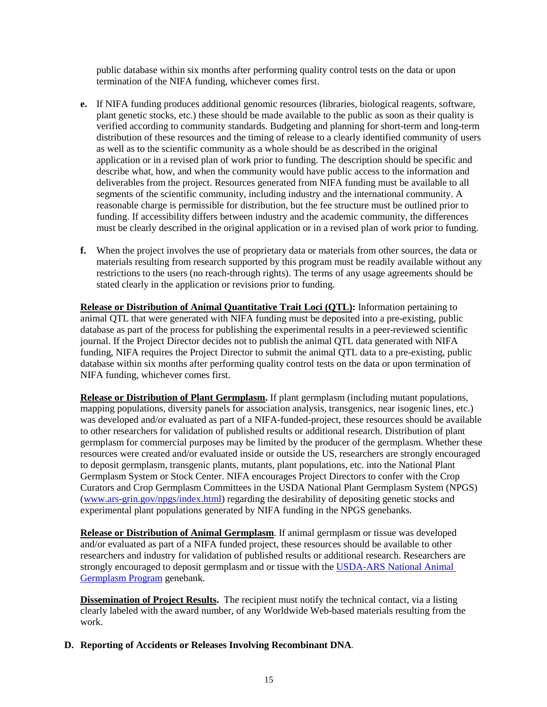public database within six months after performing quality control tests on the data or upon termination of the NIFA funding, whichever comes first.

- **e.** If NIFA funding produces additional genomic resources (libraries, biological reagents, software, plant genetic stocks, etc.) these should be made available to the public as soon as their quality is verified according to community standards. Budgeting and planning for short-term and long-term distribution of these resources and the timing of release to a clearly identified community of users as well as to the scientific community as a whole should be as described in the original application or in a revised plan of work prior to funding. The description should be specific and describe what, how, and when the community would have public access to the information and deliverables from the project. Resources generated from NIFA funding must be available to all segments of the scientific community, including industry and the international community. A reasonable charge is permissible for distribution, but the fee structure must be outlined prior to funding. If accessibility differs between industry and the academic community, the differences must be clearly described in the original application or in a revised plan of work prior to funding.
- **f.** When the project involves the use of proprietary data or materials from other sources, the data or materials resulting from research supported by this program must be readily available without any restrictions to the users (no reach-through rights). The terms of any usage agreements should be stated clearly in the application or revisions prior to funding.

**Release or Distribution of Animal Quantitative Trait Loci (QTL):** Information pertaining to animal QTL that were generated with NIFA funding must be deposited into a pre-existing, public database as part of the process for publishing the experimental results in a peer-reviewed scientific journal. If the Project Director decides not to publish the animal QTL data generated with NIFA funding, NIFA requires the Project Director to submit the animal QTL data to a pre-existing, public database within six months after performing quality control tests on the data or upon termination of NIFA funding, whichever comes first.

**Release or Distribution of Plant Germplasm.** If plant germplasm (including mutant populations, mapping populations, diversity panels for association analysis, transgenics, near isogenic lines, etc.) was developed and/or evaluated as part of a NIFA-funded-project, these resources should be available to other researchers for validation of published results or additional research. Distribution of plant germplasm for commercial purposes may be limited by the producer of the germplasm. Whether these resources were created and/or evaluated inside or outside the US, researchers are strongly encouraged to deposit germplasm, transgenic plants, mutants, plant populations, etc. into the National Plant Germplasm System or Stock Center. NIFA encourages Project Directors to confer with the Crop Curators and Crop Germplasm Committees in the USDA National Plant Germplasm System (NPGS) [\(www.ars-grin.gov/npgs/index.html\)](http://www.ars-grin.gov/npgs/index.html) regarding the desirability of depositing genetic stocks and experimental plant populations generated by NIFA funding in the NPGS genebanks.

**Release or Distribution of Animal Germplasm**. If animal germplasm or tissue was developed and/or evaluated as part of a NIFA funded project, these resources should be available to other researchers and industry for validation of published results or additional research. Researchers are strongly encouraged to deposit germplasm and or tissue with the [USDA-ARS National Animal](https://nrrc.ars.usda.gov/A-GRIN/main_webpage/ars?record_source=US)  [Germplasm Program](https://nrrc.ars.usda.gov/A-GRIN/main_webpage/ars?record_source=US) genebank.

**Dissemination of Project Results.** The recipient must notify the technical contact, via a listing clearly labeled with the award number, of any Worldwide Web-based materials resulting from the work.

### **D. Reporting of Accidents or Releases Involving Recombinant DNA**.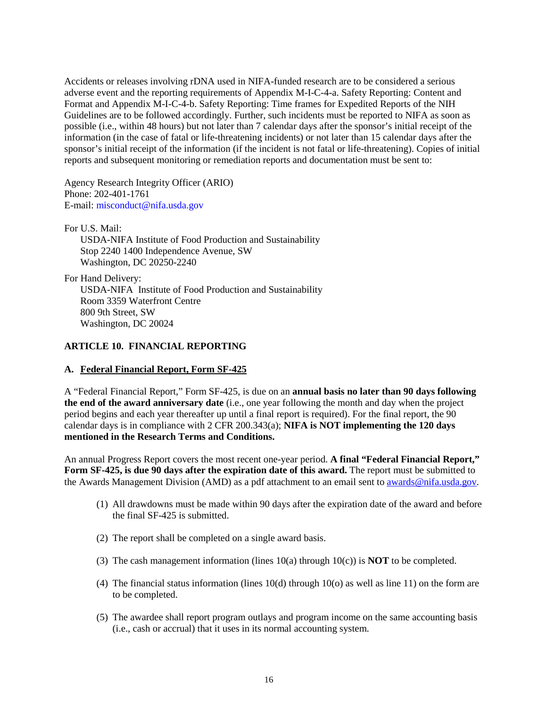Accidents or releases involving rDNA used in NIFA-funded research are to be considered a serious adverse event and the reporting requirements of Appendix M-I-C-4-a. Safety Reporting: Content and Format and Appendix M-I-C-4-b. Safety Reporting: Time frames for Expedited Reports of the NIH Guidelines are to be followed accordingly. Further, such incidents must be reported to NIFA as soon as possible (i.e., within 48 hours) but not later than 7 calendar days after the sponsor's initial receipt of the information (in the case of fatal or life-threatening incidents) or not later than 15 calendar days after the sponsor's initial receipt of the information (if the incident is not fatal or life-threatening). Copies of initial reports and subsequent monitoring or remediation reports and documentation must be sent to:

Agency Research Integrity Officer (ARIO) Phone: 202-401-1761 E-mail[: misconduct@nifa.usda.gov](mailto:misconduct@nifa.usda.gov)

For U.S. Mail: USDA-NIFA Institute of Food Production and Sustainability Stop 2240 1400 Independence Avenue, SW Washington, DC 20250-2240

For Hand Delivery: USDA-NIFA Institute of Food Production and Sustainability Room 3359 Waterfront Centre 800 9th Street, SW Washington, DC 20024

### **ARTICLE 10. FINANCIAL REPORTING**

### **A. Federal Financial Report, Form SF-425**

A "Federal Financial Report," Form SF-425, is due on an **annual basis no later than 90 days following the end of the award anniversary date** (i.e., one year following the month and day when the project period begins and each year thereafter up until a final report is required). For the final report, the 90 calendar days is in compliance with 2 CFR 200.343(a); **NIFA is NOT implementing the 120 days mentioned in the Research Terms and Conditions.**

An annual Progress Report covers the most recent one-year period. **A final "Federal Financial Report," Form SF-425, is due 90 days after the expiration date of this award.** The report must be submitted to the Awards Management Division (AMD) as a pdf attachment to an email sent to [awards@nifa.usda.gov.](mailto:Awards@nifa.usda.gov)

- (1) All drawdowns must be made within 90 days after the expiration date of the award and before the final SF-425 is submitted.
- (2) The report shall be completed on a single award basis.
- (3) The cash management information (lines 10(a) through 10(c)) is **NOT** to be completed.
- (4) The financial status information (lines 10(d) through 10(o) as well as line 11) on the form are to be completed.
- (5) The awardee shall report program outlays and program income on the same accounting basis (i.e., cash or accrual) that it uses in its normal accounting system.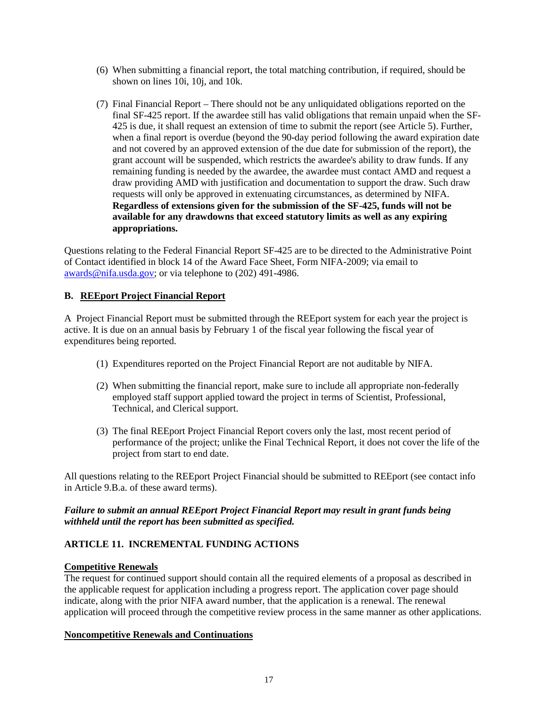- (6) When submitting a financial report, the total matching contribution, if required, should be shown on lines 10i, 10j, and 10k.
- (7) Final Financial Report There should not be any unliquidated obligations reported on the final SF-425 report. If the awardee still has valid obligations that remain unpaid when the SF-425 is due, it shall request an extension of time to submit the report (see Article 5). Further, when a final report is overdue (beyond the 90-day period following the award expiration date and not covered by an approved extension of the due date for submission of the report), the grant account will be suspended, which restricts the awardee's ability to draw funds. If any remaining funding is needed by the awardee, the awardee must contact AMD and request a draw providing AMD with justification and documentation to support the draw. Such draw requests will only be approved in extenuating circumstances, as determined by NIFA. **Regardless of extensions given for the submission of the SF-425, funds will not be available for any drawdowns that exceed statutory limits as well as any expiring appropriations.**

Questions relating to the Federal Financial Report SF-425 are to be directed to the Administrative Point of Contact identified in block 14 of the Award Face Sheet, Form NIFA-2009; via email to [awards@nifa.usda.gov;](mailto:awards@nifa.usda.gov) or via telephone to (202) 491-4986.

## **B. REEport Project Financial Report**

A Project Financial Report must be submitted through the REEport system for each year the project is active. It is due on an annual basis by February 1 of the fiscal year following the fiscal year of expenditures being reported.

- (1) Expenditures reported on the Project Financial Report are not auditable by NIFA.
- (2) When submitting the financial report, make sure to include all appropriate non-federally employed staff support applied toward the project in terms of Scientist, Professional, Technical, and Clerical support.
- (3) The final REEport Project Financial Report covers only the last, most recent period of performance of the project; unlike the Final Technical Report, it does not cover the life of the project from start to end date.

All questions relating to the REEport Project Financial should be submitted to REEport (see contact info in Article 9.B.a. of these award terms).

## *Failure to submit an annual REEport Project Financial Report may result in grant funds being withheld until the report has been submitted as specified.*

## **ARTICLE 11. INCREMENTAL FUNDING ACTIONS**

## **Competitive Renewals**

The request for continued support should contain all the required elements of a proposal as described in the applicable request for application including a progress report. The application cover page should indicate, along with the prior NIFA award number, that the application is a renewal. The renewal application will proceed through the competitive review process in the same manner as other applications.

### **Noncompetitive Renewals and Continuations**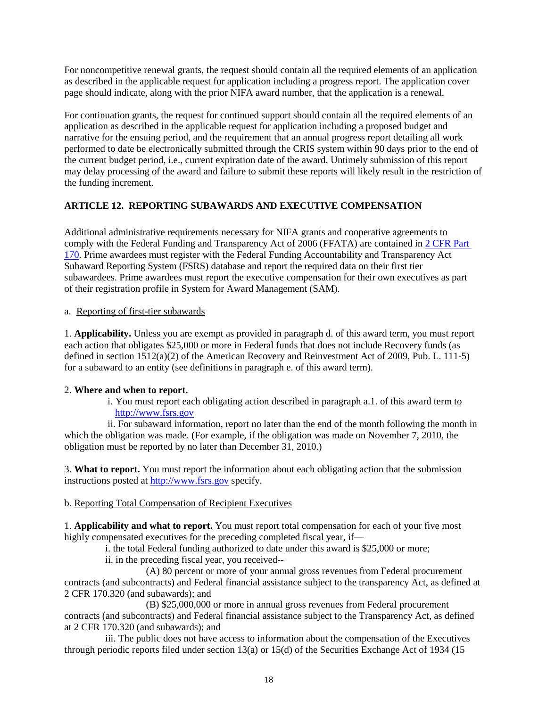For noncompetitive renewal grants, the request should contain all the required elements of an application as described in the applicable request for application including a progress report. The application cover page should indicate, along with the prior NIFA award number, that the application is a renewal.

For continuation grants, the request for continued support should contain all the required elements of an application as described in the applicable request for application including a proposed budget and narrative for the ensuing period, and the requirement that an annual progress report detailing all work performed to date be electronically submitted through the CRIS system within 90 days prior to the end of the current budget period, i.e., current expiration date of the award. Untimely submission of this report may delay processing of the award and failure to submit these reports will likely result in the restriction of the funding increment.

## **ARTICLE 12. REPORTING SUBAWARDS AND EXECUTIVE COMPENSATION**

Additional administrative requirements necessary for NIFA grants and cooperative agreements to comply with the Federal Funding and Transparency Act of 2006 (FFATA) are contained in [2 CFR Part](https://www.ecfr.gov/cgi-bin/text-idx?tpl=/ecfrbrowse/Title02/2cfr170_main_02.tpl)  [170.](https://www.ecfr.gov/cgi-bin/text-idx?tpl=/ecfrbrowse/Title02/2cfr170_main_02.tpl) Prime awardees must register with the Federal Funding Accountability and Transparency Act Subaward Reporting System (FSRS) database and report the required data on their first tier subawardees. Prime awardees must report the executive compensation for their own executives as part of their registration profile in System for Award Management (SAM).

a. Reporting of first-tier subawards

1. **Applicability.** Unless you are exempt as provided in paragraph d. of this award term, you must report each action that obligates \$25,000 or more in Federal funds that does not include Recovery funds (as defined in section 1512(a)(2) of the American Recovery and Reinvestment Act of 2009, Pub. L. 111-5) for a subaward to an entity (see definitions in paragraph e. of this award term).

## 2. **Where and when to report.**

i. You must report each obligating action described in paragraph a.1. of this award term to [http://www.fsrs.gov](http://www.fsrs.gov/)

ii. For subaward information, report no later than the end of the month following the month in which the obligation was made. (For example, if the obligation was made on November 7, 2010, the obligation must be reported by no later than December 31, 2010.)

3. **What to report.** You must report the information about each obligating action that the submission instructions posted at [http://www.fsrs.gov](http://www.fsrs.gov/) specify.

## b. Reporting Total Compensation of Recipient Executives

1. **Applicability and what to report.** You must report total compensation for each of your five most highly compensated executives for the preceding completed fiscal year, if—

i. the total Federal funding authorized to date under this award is \$25,000 or more;

ii. in the preceding fiscal year, you received--

(A) 80 percent or more of your annual gross revenues from Federal procurement contracts (and subcontracts) and Federal financial assistance subject to the transparency Act, as defined at 2 CFR 170.320 (and subawards); and

(B) \$25,000,000 or more in annual gross revenues from Federal procurement contracts (and subcontracts) and Federal financial assistance subject to the Transparency Act, as defined at 2 CFR 170.320 (and subawards); and

iii. The public does not have access to information about the compensation of the Executives through periodic reports filed under section 13(a) or 15(d) of the Securities Exchange Act of 1934 (15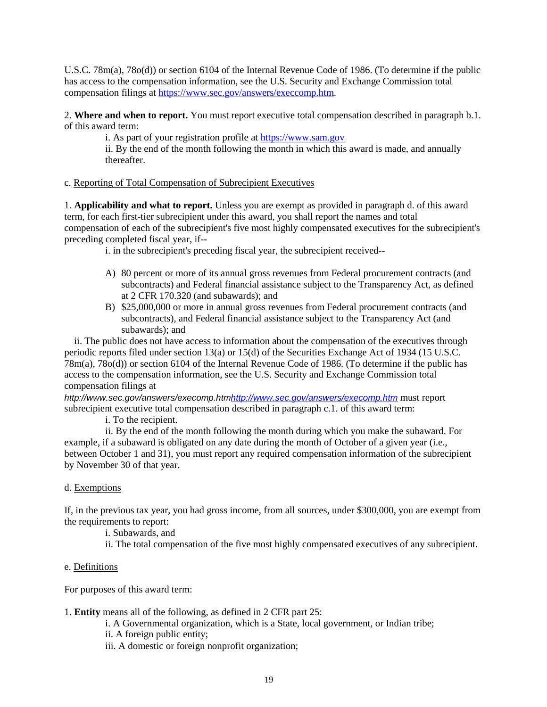U.S.C. 78m(a), 78o(d)) or section 6104 of the Internal Revenue Code of 1986. (To determine if the public has access to the compensation information, see the U.S. Security and Exchange Commission total compensation filings at [https://www.sec.gov/answers/execcomp.htm.](https://www.sec.gov/answers/execcomp.htm)

2. **Where and when to report.** You must report executive total compensation described in paragraph b.1. of this award term:

i. As part of your registration profile at [https://www.sam.gov](https://www.sam.gov/)

ii. By the end of the month following the month in which this award is made, and annually thereafter.

### c. Reporting of Total Compensation of Subrecipient Executives

1. **Applicability and what to report.** Unless you are exempt as provided in paragraph d. of this award term, for each first-tier subrecipient under this award, you shall report the names and total compensation of each of the subrecipient's five most highly compensated executives for the subrecipient's preceding completed fiscal year, if--

i. in the subrecipient's preceding fiscal year, the subrecipient received--

- A) 80 percent or more of its annual gross revenues from Federal procurement contracts (and subcontracts) and Federal financial assistance subject to the Transparency Act, as defined at 2 CFR 170.320 (and subawards); and
- B) \$25,000,000 or more in annual gross revenues from Federal procurement contracts (and subcontracts), and Federal financial assistance subject to the Transparency Act (and subawards); and

 ii. The public does not have access to information about the compensation of the executives through periodic reports filed under section 13(a) or 15(d) of the Securities Exchange Act of 1934 (15 U.S.C. 78m(a), 78o(d)) or section 6104 of the Internal Revenue Code of 1986. (To determine if the public has access to the compensation information, see the U.S. Security and Exchange Commission total compensation filings at

*http://www.sec.gov/answers/execomp.ht[mhttp://www.sec.gov/answers/execomp.htm](http://www.sec.gov/answers/execomp.htm)* must report subrecipient executive total compensation described in paragraph c.1. of this award term:

i. To the recipient.

ii. By the end of the month following the month during which you make the subaward. For example, if a subaward is obligated on any date during the month of October of a given year (i.e., between October 1 and 31), you must report any required compensation information of the subrecipient by November 30 of that year.

#### d. Exemptions

If, in the previous tax year, you had gross income, from all sources, under \$300,000, you are exempt from the requirements to report:

i. Subawards, and

ii. The total compensation of the five most highly compensated executives of any subrecipient.

#### e. Definitions

For purposes of this award term:

1. **Entity** means all of the following, as defined in 2 CFR part 25:

i. A Governmental organization, which is a State, local government, or Indian tribe;

- ii. A foreign public entity;
- iii. A domestic or foreign nonprofit organization;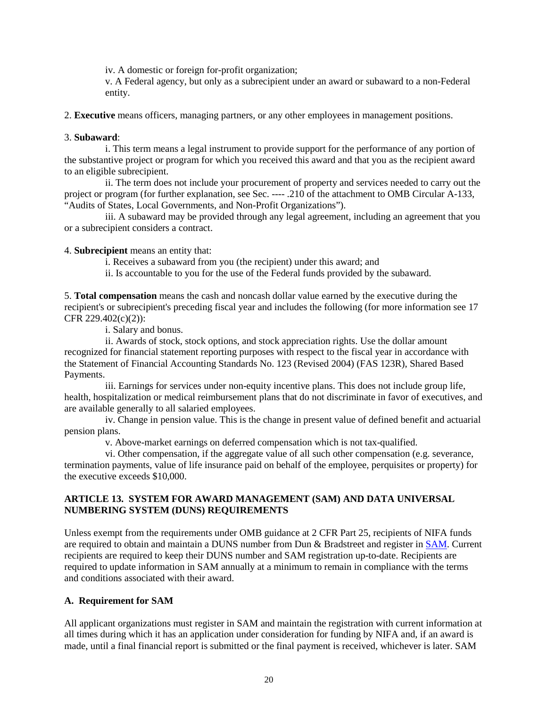iv. A domestic or foreign for-profit organization;

v. A Federal agency, but only as a subrecipient under an award or subaward to a non-Federal entity.

2. **Executive** means officers, managing partners, or any other employees in management positions.

### 3. **Subaward**:

i. This term means a legal instrument to provide support for the performance of any portion of the substantive project or program for which you received this award and that you as the recipient award to an eligible subrecipient.

ii. The term does not include your procurement of property and services needed to carry out the project or program (for further explanation, see Sec. ---- .210 of the attachment to OMB Circular A-133, "Audits of States, Local Governments, and Non-Profit Organizations").

iii. A subaward may be provided through any legal agreement, including an agreement that you or a subrecipient considers a contract.

4. **Subrecipient** means an entity that:

i. Receives a subaward from you (the recipient) under this award; and

ii. Is accountable to you for the use of the Federal funds provided by the subaward.

5. **Total compensation** means the cash and noncash dollar value earned by the executive during the recipient's or subrecipient's preceding fiscal year and includes the following (for more information see 17 CFR 229.402(c)(2)):

i. Salary and bonus.

ii. Awards of stock, stock options, and stock appreciation rights. Use the dollar amount recognized for financial statement reporting purposes with respect to the fiscal year in accordance with the Statement of Financial Accounting Standards No. 123 (Revised 2004) (FAS 123R), Shared Based Payments.

iii. Earnings for services under non-equity incentive plans. This does not include group life, health, hospitalization or medical reimbursement plans that do not discriminate in favor of executives, and are available generally to all salaried employees.

iv. Change in pension value. This is the change in present value of defined benefit and actuarial pension plans.

v. Above-market earnings on deferred compensation which is not tax-qualified.

vi. Other compensation, if the aggregate value of all such other compensation (e.g. severance, termination payments, value of life insurance paid on behalf of the employee, perquisites or property) for the executive exceeds \$10,000.

## **ARTICLE 13. SYSTEM FOR AWARD MANAGEMENT (SAM) AND DATA UNIVERSAL NUMBERING SYSTEM (DUNS) REQUIREMENTS**

Unless exempt from the requirements under OMB guidance at 2 CFR Part 25, recipients of NIFA funds are required to obtain and maintain a DUNS number from Dun & Bradstreet and register in [SAM.](https://www.sam.gov/portal/SAM/##1) Current recipients are required to keep their DUNS number and SAM registration up-to-date. Recipients are required to update information in SAM annually at a minimum to remain in compliance with the terms and conditions associated with their award.

### **A. Requirement for SAM**

All applicant organizations must register in SAM and maintain the registration with current information at all times during which it has an application under consideration for funding by NIFA and, if an award is made, until a final financial report is submitted or the final payment is received, whichever is later. SAM